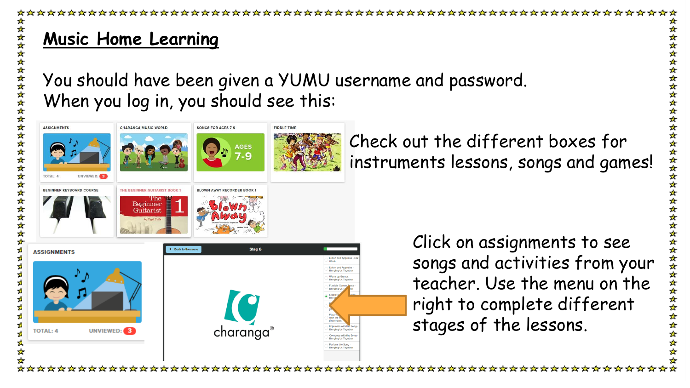# **Music Home Learning**

ú ú ä You should have been given a YUMU username and password. When you log in, you should see this:



Check out the different boxes for instruments lessons, songs and games!

> Click on assignments to see songs and activities from your teacher. Use the menu on the right to complete different stages of the lessons.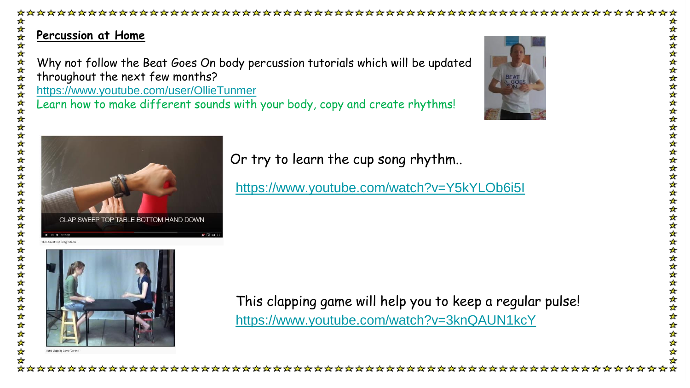## **Percussion at Home**

女女女女

Why not follow the Beat Goes On body percussion tutorials which will be updated throughout the next few months? <https://www.youtube.com/user/OllieTunmer> Learn how to make different sounds with your body, copy and create rhythms!





Or try to learn the cup song rhythm..

<https://www.youtube.com/watch?v=Y5kYLOb6i5I>



<https://www.youtube.com/watch?v=3knQAUN1kcY> This clapping game will help you to keep a regular pulse!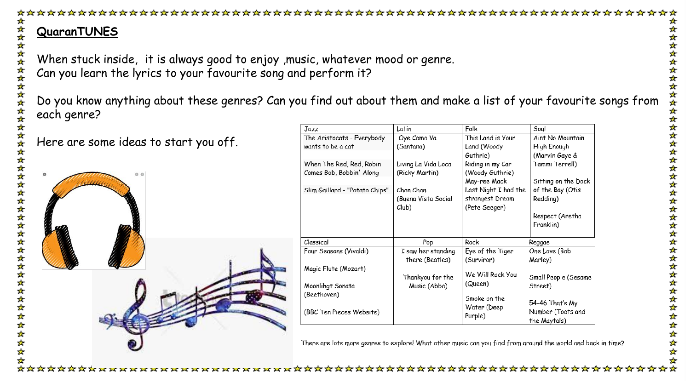

When stuck inside, it is always good to enjoy ,music, whatever mood or genre. Can you learn the lyrics to your favourite song and perform it?

Do you know anything about these genres? Can you find out about them and make a list of your favourite songs from each genre?

Here are some ideas to start you off.

ú. 소

政府政 ż



| Jazz                           | Latin               | Folk                 | Soul                 |
|--------------------------------|---------------------|----------------------|----------------------|
| The Aristocats - Everybody     | Oye Como Va         | This Land is Your    | Aint No Mountain     |
| wants to be a cat              | (Santana)           | Land (Woody          | High Enough          |
|                                |                     | Guthrie)             | (Marvin Gaye &       |
| When The Red, Red, Robin       | Living La Vida Loca | Riding in my Car     | Tammi Terrell)       |
| Comes Bob, Bobbin' Along       | (Ricky Martin)      | (Woody Guthrie)      |                      |
|                                |                     | May-ree Mack         | Sitting on the Dock  |
| Slim Gaillard - "Potato Chips" | Chan Chan           | Last Night I had the | of the Bay (Otis     |
|                                | (Byena Vista Social | strangest Dream      | Redding)             |
|                                | Club)               | (Pete Seeger)        |                      |
|                                |                     |                      | Respect (Aretha      |
|                                |                     |                      | Franklin)            |
|                                |                     |                      |                      |
| Classical                      | Pop                 | Rock                 | Reggae               |
| Four Seasons (Vivaldi)         | I saw her standing  | Eye of the Tiger     | One Love (Bob        |
|                                | there (Beatles)     | (Surviror)           | Marley)              |
| Magic Flute (Mozart)           |                     |                      |                      |
|                                | Thankyou for the    | We Will Rock You     | Small People (Sesame |
| Moonlingt Sonata               | Music (Abba)        | (Queen)              | Street)              |
| (Beethoven)                    |                     | Smoke on the         |                      |
|                                |                     | Water (Deep          | 54-46 That's My      |
| (BBC Ten Pieces Website)       |                     | Purple)              | Number (Toots and    |
|                                |                     |                      | the Maytals)         |

There are lots more genres to explore! What other music can you find from around the world and back in time?